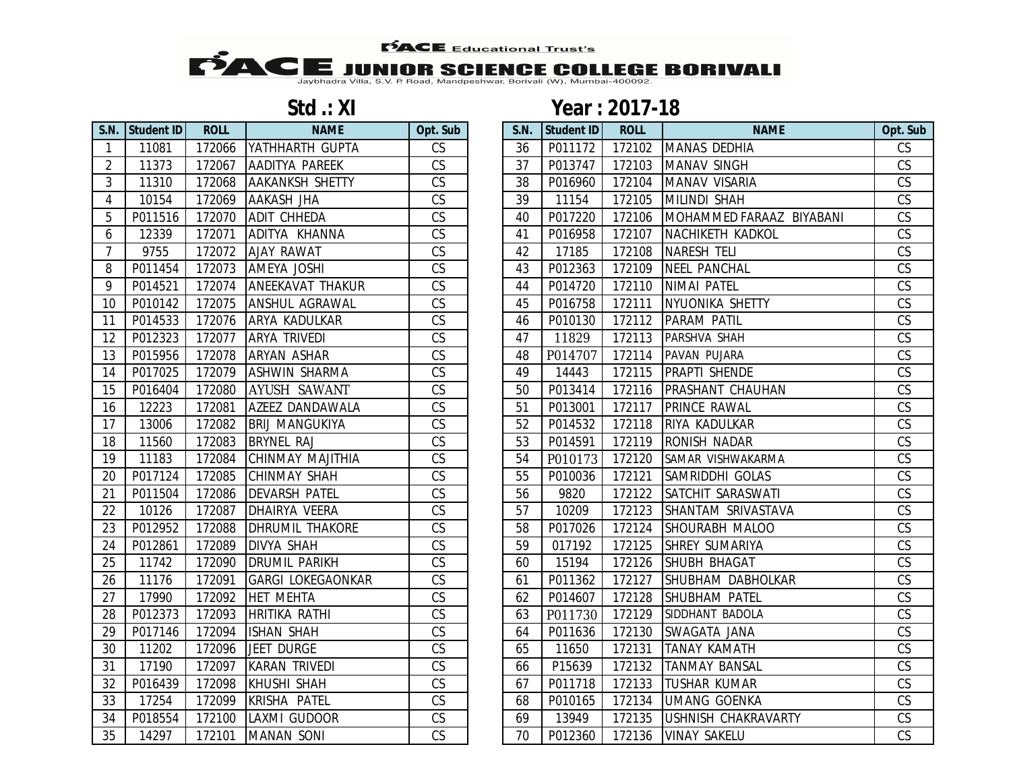**FACE** Educational Trust's

## **EXAMPLE Educational Trust's**<br>Jaybhadra Villa, S.V. P. Road, Mandpeshwar, Borivali (W), Mumbai-400092.

| <b>S.N.</b>    | <b>Student ID</b> | <b>ROLL</b> | <b>NAME</b>              | Opt. Sub                 |
|----------------|-------------------|-------------|--------------------------|--------------------------|
| 1              | 11081             | 172066      | YATHHARTH GUPTA          | CS                       |
| $\overline{2}$ | 11373             | 172067      | AADITYA PAREEK           | $\overline{\text{CS}}$   |
| $\overline{3}$ | 11310             | 172068      | <b>AAKANKSH SHETTY</b>   | CS                       |
| $\overline{4}$ | 10154             | 172069      | AAKASH JHA               | CS                       |
| 5              | P011516           | 172070      | ADIT CHHEDA              | CS                       |
| 6              | 12339             | 172071      | ADITYA KHANNA            | CS                       |
| 7              | 9755              | 172072      | <b>AJAY RAWAT</b>        | CS                       |
| 8              | P011454           | 172073      | AMEYA JOSHI              | CS                       |
| 9              | P014521           | 172074      | ANEEKAVAT THAKUR         | CS                       |
| 10             | P010142           | 172075      | ANSHUL AGRAWAL           | CS                       |
| 11             | P014533           | 172076      | ARYA KADULKAR            | CS                       |
| 12             | P012323           | 172077      | ARYA TRIVEDI             | $\overline{\text{CS}}$   |
| 13             | P015956           | 172078      | <b>ARYAN ASHAR</b>       | CS                       |
| 14             | P017025           | 172079      | <b>ASHWIN SHARMA</b>     | CS                       |
| 15             | P016404           | 172080      | AYUSH SAWANT             | CS                       |
| 16             | 12223             | 172081      | AZEEZ DANDAWALA          | $\overline{\text{CS}}$   |
| 17             | 13006             | 172082      | <b>BRIJ MANGUKIYA</b>    | CS                       |
| 18             | 11560             | 172083      | BRYNEL RAJ               | $\overline{\text{CS}}$   |
| 19             | 172084<br>11183   |             | CHINMAY MAJITHIA         | CS                       |
| 20             | P017124<br>172085 |             | CHINMAY SHAH             | $\mathsf{CS}\phantom{0}$ |
| 21             | P011504           | 172086      | DEVARSH PATEL            | CS                       |
| 22             | 10126             | 172087      | DHAIRYA VEERA            | CS                       |
| 23             | P012952           | 172088      | DHRUMIL THAKORE          | CS                       |
| 24             | P012861           | 172089      | <b>DIVYA SHAH</b>        | CS                       |
| 25             | 11742             | 172090      | <b>DRUMIL PARIKH</b>     | CS                       |
| 26             | 11176             | 172091      | <b>GARGI LOKEGAONKAR</b> | CS                       |
| 27             | 17990             | 172092      | <b>HET MEHTA</b>         | CS                       |
| 28             | P012373           | 172093      | <b>HRITIKA RATHI</b>     | $\overline{\text{CS}}$   |
| 29             | P017146           | 172094      | <b>ISHAN SHAH</b>        | CS                       |
| 30             | 11202             | 172096      | <b>JEET DURGE</b>        | CS                       |
| 31             | 17190             | 172097      | <b>KARAN TRIVEDI</b>     | $\overline{\text{CS}}$   |
| 32             | P016439           | 172098      | KHUSHI SHAH              | CS                       |
| 33             | 17254             | 172099      | KRISHA PATEL             | CS                       |
| 34             | P018554           | 172100      | LAXMI GUDOOR             | $\overline{\text{CS}}$   |
| 35             | 14297             | 172101      | <b>MANAN SONI</b>        | $\overline{\text{CS}}$   |

## **Std .: XI Year : 2017-18**

|                | S.N. Student ID | <b>ROLL</b> | <b>NAME</b>              | Opt. Sub               | S.N. | <b>Student ID</b> | <b>ROLL</b> | <b>NAME</b>              | Opt. Sub               |
|----------------|-----------------|-------------|--------------------------|------------------------|------|-------------------|-------------|--------------------------|------------------------|
| $\overline{1}$ | 11081           | 172066      | YATHHARTH GUPTA          | CS                     | 36   | P011172           | 172102      | MANAS DEDHIA             | CS                     |
| $\overline{2}$ | 11373           | 172067      | AADITYA PAREEK           | CS                     | 37   | P013747           | 172103      | <b>MANAV SINGH</b>       | $\overline{\text{CS}}$ |
| 3              | 11310           | 172068      | <b>AAKANKSH SHETTY</b>   | CS                     | 38   | P016960           | 172104      | MANAV VISARIA            | $\overline{\text{CS}}$ |
| 4              | 10154           | 172069      | <b>AAKASH JHA</b>        | CS                     | 39   | 11154             | 172105      | MILINDI SHAH             | $\overline{\text{CS}}$ |
| 5              | P011516         | 172070      | <b>ADIT CHHEDA</b>       | $\overline{\text{CS}}$ | 40   | P017220           | 172106      | MOHAMMED FARAAZ BIYABANI | $\overline{\text{CS}}$ |
| 6              | 12339           | 172071      | ADITYA KHANNA            | CS                     | 41   | P016958           | 172107      | NACHIKETH KADKOL         | $\overline{\text{CS}}$ |
| $\overline{7}$ | 9755            | 172072      | <b>AJAY RAWAT</b>        | $\overline{\text{CS}}$ | 42   | 17185             | 172108      | <b>NARESH TELI</b>       | $\overline{\text{CS}}$ |
| 8              | P011454         | 172073      | <b>AMEYA JOSHI</b>       | CS                     | 43   | P012363           | 172109      | <b>NEEL PANCHAL</b>      | $\overline{\text{CS}}$ |
| 9              | P014521         | 172074      | <b>ANEEKAVAT THAKUR</b>  | CS                     | 44   | P014720           | 172110      | <b>NIMAI PATEL</b>       | CS                     |
| 10             | P010142         | 172075      | <b>ANSHUL AGRAWAL</b>    | CS                     | 45   | P016758           | 172111      | NYUONIKA SHETTY          | CS                     |
| 11             | P014533         | 172076      | <b>ARYA KADULKAR</b>     | $\overline{\text{CS}}$ | 46   | P010130           | 172112      | <b>PARAM PATIL</b>       | $\overline{\text{CS}}$ |
| 12             | P012323         | 172077      | <b>ARYA TRIVEDI</b>      | $\overline{\text{CS}}$ | 47   | 11829             | 172113      | PARSHVA SHAH             | $\overline{\text{CS}}$ |
| 13             | P015956         | 172078      | <b>ARYAN ASHAR</b>       | CS                     | 48   | P014707           | 172114      | PAVAN PUJARA             | $\overline{\text{CS}}$ |
| 14             | P017025         | 172079      | <b>ASHWIN SHARMA</b>     | CS                     | 49   | 14443             | 172115      | <b>PRAPTI SHENDE</b>     | $\overline{\text{CS}}$ |
| 15             | P016404         | 172080      | AYUSH SAWANT             | CS                     | 50   | P013414           | 172116      | <b>PRASHANT CHAUHAN</b>  | CS                     |
| 16             | 12223           | 172081      | AZEEZ DANDAWALA          | CS                     | 51   | P013001           | 172117      | PRINCE RAWAL             | CS                     |
| 17             | 13006           | 172082      | <b>BRIJ MANGUKIYA</b>    | $\overline{\text{CS}}$ | 52   | P014532           | 172118      | RIYA KADULKAR            | $\overline{\text{CS}}$ |
| 18             | 11560           | 172083      | <b>BRYNEL RAJ</b>        | CS                     | 53   | P014591           | 172119      | <b>RONISH NADAR</b>      | $\overline{\text{CS}}$ |
| 19             | 11183           | 172084      | CHINMAY MAJITHIA         | CS                     | 54   | P010173           | 172120      | SAMAR VISHWAKARMA        | $\overline{\text{CS}}$ |
| 20             | P017124         | 172085      | <b>CHINMAY SHAH</b>      | CS                     | 55   | P010036           | 172121      | SAMRIDDHI GOLAS          | CS                     |
| 21             | P011504         | 172086      | <b>DEVARSH PATEL</b>     | $\overline{\text{CS}}$ | 56   | 9820              | 172122      | SATCHIT SARASWATI        | $\overline{\text{CS}}$ |
| 22             | 10126           | 172087      | <b>DHAIRYA VEERA</b>     | $\overline{\text{CS}}$ | 57   | 10209             | 172123      | SHANTAM SRIVASTAVA       | $\overline{\text{CS}}$ |
| 23             | P012952         | 172088      | <b>DHRUMIL THAKORE</b>   | CS                     | 58   | P017026           | 172124      | SHOURABH MALOO           | CS                     |
| 24             | P012861         | 172089      | <b>DIVYA SHAH</b>        | CS                     | 59   | 017192            | 172125      | <b>SHREY SUMARIYA</b>    | $\overline{\text{CS}}$ |
| 25             | 11742           | 172090      | <b>DRUMIL PARIKH</b>     | CS                     | 60   | 15194             | 172126      | SHUBH BHAGAT             | $\overline{\text{CS}}$ |
| 26             | 11176           | 172091      | <b>GARGI LOKEGAONKAR</b> | $\overline{\text{CS}}$ | 61   | P011362           | 172127      | SHUBHAM DABHOLKAR        | $\overline{\text{CS}}$ |
| 27             | 17990           | 172092      | <b>HET MEHTA</b>         | $\overline{\text{CS}}$ | 62   | P014607           | 172128      | <b>SHUBHAM PATEL</b>     | $\overline{\text{CS}}$ |
| 28             | P012373         | 172093      | <b>HRITIKA RATHI</b>     | $\overline{\text{CS}}$ | 63   | P011730           | 172129      | SIDDHANT BADOLA          | $\overline{\text{CS}}$ |
| 29             | P017146         | 172094      | <b>ISHAN SHAH</b>        | CS                     | 64   | P011636           | 172130      | SWAGATA JANA             | $\overline{\text{CS}}$ |
| 30             | 11202           | 172096      | <b>JEET DURGE</b>        | CS                     | 65   | 11650             | 172131      | <b>TANAY KAMATH</b>      | CS                     |
| 31             | 17190           | 172097      | <b>KARAN TRIVEDI</b>     | $\overline{\text{CS}}$ | 66   | P15639            | 172132      | <b>TANMAY BANSAL</b>     | $\overline{\text{CS}}$ |
| 32             | P016439         | 172098      | <b>KHUSHI SHAH</b>       | $\overline{\text{CS}}$ | 67   | P011718           | 172133      | <b>TUSHAR KUMAR</b>      | $\overline{\text{CS}}$ |
| 33             | 17254           | 172099      | KRISHA PATEL             | $\overline{\text{CS}}$ | 68   | P010165           | 172134      | <b>UMANG GOENKA</b>      | $\overline{\text{CS}}$ |
| 34             | P018554         | 172100      | LAXMI GUDOOR             | CS                     | 69   | 13949             | 172135      | USHNISH CHAKRAVARTY      | CS                     |
| 35             | 14297           | 172101      | <b>MANAN SONI</b>        | $\overline{\text{CS}}$ | 70   | P012360           | 172136      | <b>VINAY SAKELU</b>      | $\overline{\text{CS}}$ |